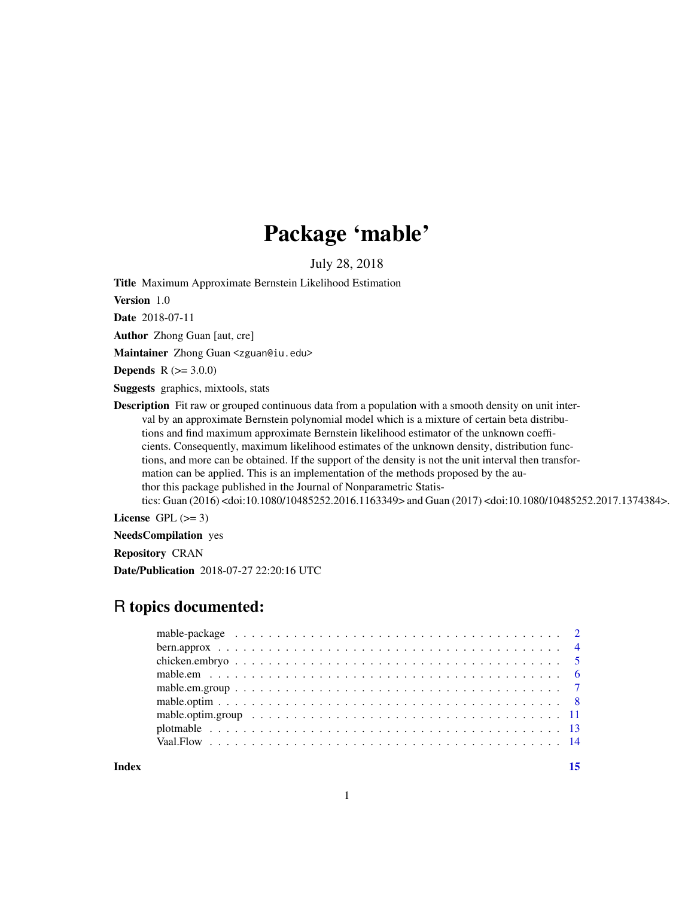## Package 'mable'

July 28, 2018

Title Maximum Approximate Bernstein Likelihood Estimation

Version 1.0

Date 2018-07-11

Author Zhong Guan [aut, cre]

Maintainer Zhong Guan <zguan@iu.edu>

**Depends** R  $(>= 3.0.0)$ 

Suggests graphics, mixtools, stats

Description Fit raw or grouped continuous data from a population with a smooth density on unit interval by an approximate Bernstein polynomial model which is a mixture of certain beta distributions and find maximum approximate Bernstein likelihood estimator of the unknown coefficients. Consequently, maximum likelihood estimates of the unknown density, distribution functions, and more can be obtained. If the support of the density is not the unit interval then transformation can be applied. This is an implementation of the methods proposed by the author this package published in the Journal of Nonparametric Statistics: Guan (2016) <doi:10.1080/10485252.2016.1163349> and Guan (2017) <doi:10.1080/10485252.2017.1374384>.

License GPL  $(>= 3)$ 

NeedsCompilation yes

Repository CRAN

Date/Publication 2018-07-27 22:20:16 UTC

## R topics documented:

| Index |  |
|-------|--|
|       |  |
|       |  |
|       |  |
|       |  |
|       |  |
|       |  |
|       |  |
|       |  |
|       |  |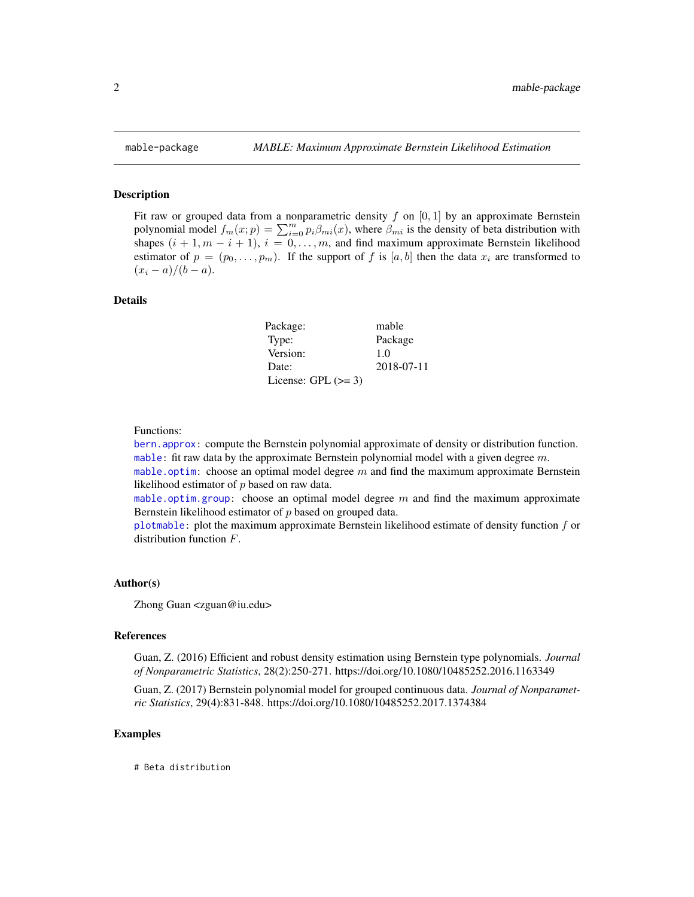<span id="page-1-0"></span>

#### <span id="page-1-1"></span>Description

Fit raw or grouped data from a nonparametric density f on  $[0, 1]$  by an approximate Bernstein polynomial model  $f_m(x; p) = \sum_{i=0}^{m} p_i \beta_{mi}(x)$ , where  $\beta_{mi}$  is the density of beta distribution with shapes  $(i + 1, m - i + 1), i = 0, \ldots, m$ , and find maximum approximate Bernstein likelihood estimator of  $p = (p_0, \ldots, p_m)$ . If the support of f is [a, b] then the data  $x_i$  are transformed to  $(x_i - a)/(b - a).$ 

### Details

| Package:              | mable      |
|-----------------------|------------|
| Type:                 | Package    |
| Version:              | 1.0        |
| Date:                 | 2018-07-11 |
| License: GPL $(>= 3)$ |            |

#### Functions:

[bern.approx:](#page-3-1) compute the Bernstein polynomial approximate of density or distribution function. [mable:](#page-1-1) fit raw data by the approximate Bernstein polynomial model with a given degree  $m$ .

[mable.optim:](#page-7-1) choose an optimal model degree m and find the maximum approximate Bernstein likelihood estimator of p based on raw data.

[mable.optim.group:](#page-10-1) choose an optimal model degree  $m$  and find the maximum approximate Bernstein likelihood estimator of p based on grouped data.

[plotmable:](#page-12-1) plot the maximum approximate Bernstein likelihood estimate of density function  $f$  or distribution function  $F$ .

#### Author(s)

Zhong Guan <zguan@iu.edu>

#### References

Guan, Z. (2016) Efficient and robust density estimation using Bernstein type polynomials. *Journal of Nonparametric Statistics*, 28(2):250-271. https://doi.org/10.1080/10485252.2016.1163349

Guan, Z. (2017) Bernstein polynomial model for grouped continuous data. *Journal of Nonparametric Statistics*, 29(4):831-848. https://doi.org/10.1080/10485252.2017.1374384

#### Examples

# Beta distribution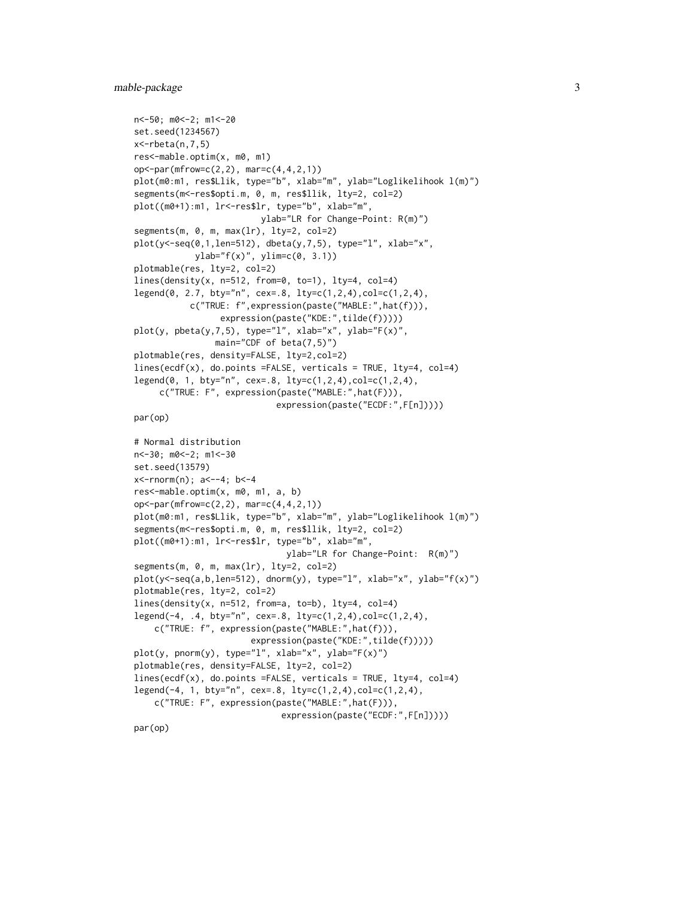```
n<-50; m0<-2; m1<-20
set.seed(1234567)
x <-rbeta(n, 7, 5)
res<-mable.optim(x, m0, m1)
op<-par(mfrow=c(2,2), mar=c(4,4,2,1))
plot(m0:m1, res$Llik, type="b", xlab="m", ylab="Loglikelihook l(m)")
segments(m<-res$opti.m, 0, m, res$llik, lty=2, col=2)
plot((m0+1):m1, lr<-res$lr, type="b", xlab="m",
                         ylab="LR for Change-Point: R(m)")
segments(m, 0, m, max(lr), lty=2, col=2)
plot(y<-seq(0,1,len=512), dbeta(y,7,5), type="l", xlab="x",
            ylab="f(x)", ylim=c(0, 3.1))
plotmable(res, lty=2, col=2)
lines(density(x, n=512, from=0, to=1), lty=4, col=4)legend(0, 2.7, bty="n", cex=.8, lty=c(1,2,4),col=c(1,2,4),
           c("TRUE: f",expression(paste("MABLE:",hat(f))),
                 expression(paste("KDE:",tilde(f)))))
plot(y, pbeta(y,7,5), type="l", xlab="x", ylab="F(x)",
                main="CDF of beta(7,5)")
plotmable(res, density=FALSE, lty=2,col=2)
lines(ecdf(x), do.points =FALSE, verticals = TRUE, lty=4, col=4)
legend(0, 1, bty="n", cex=.8, lty=c(1,2,4),col=c(1,2,4),
     c("TRUE: F", expression(paste("MABLE:",hat(F))),
                            expression(paste("ECDF:",F[n]))))
par(op)
# Normal distribution
n<-30; m0<-2; m1<-30
set.seed(13579)
x<-rnorm(n); a<--4; b<-4
res<-mable.optim(x, m0, m1, a, b)
op<-par(mfrow=c(2,2), mar=c(4,4,2,1))
plot(m0:m1, res$Llik, type="b", xlab="m", ylab="Loglikelihook l(m)")
segments(m<-res$opti.m, 0, m, res$llik, lty=2, col=2)
plot((m0+1):m1, lr<-res$lr, type="b", xlab="m",
                              ylab="LR for Change-Point: R(m)")
segments(m, 0, m, max(lr), lty=2, col=2)
plot(y<-seq(a,b,len=512), dnorm(y), type="l", xlab="x", ylab="f(x)")
plotmable(res, lty=2, col=2)
lines(density(x, n=512, from=a, to=b), lty=4, col=4)legend(-4, .4, bty="n", cex=.8, lty=c(1,2,4),col=c(1,2,4),
    c("TRUE: f", expression(paste("MABLE:",hat(f))),
                       expression(paste("KDE:",tilde(f)))))
plot(y, pnorm(y), type="l", xlab="x", ylab="F(x)")
plotmable(res, density=FALSE, lty=2, col=2)
lines(ecdf(x), do.points =FALSE, verticals = TRUE, lty=4, col=4)
legend(-4, 1, bty="n", cex=.8, lty=c(1,2,4), col=c(1,2,4),c("TRUE: F", expression(paste("MABLE:",hat(F))),
                             expression(paste("ECDF:",F[n]))))
```
par(op)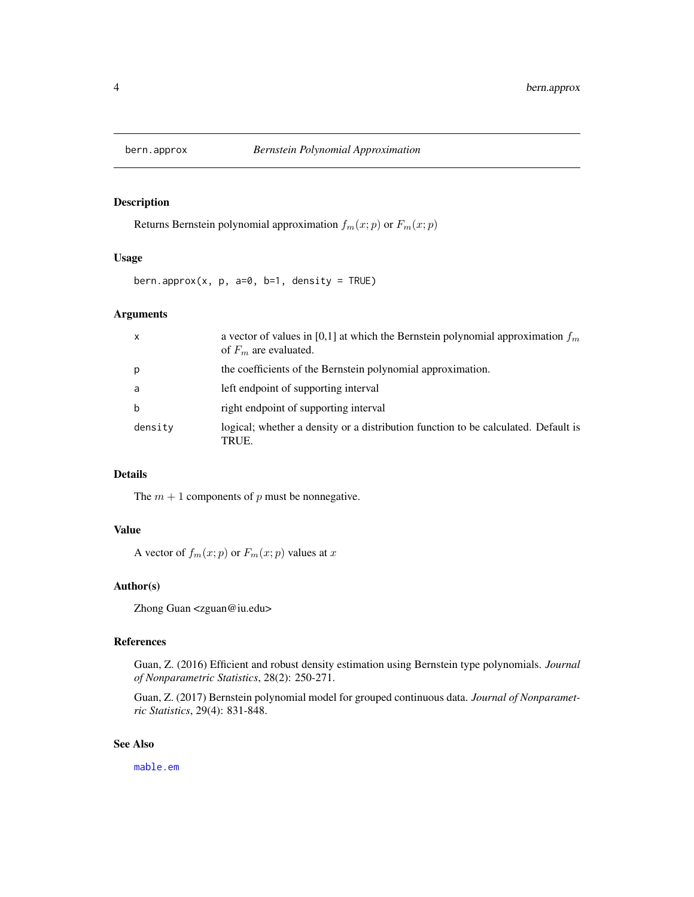<span id="page-3-1"></span><span id="page-3-0"></span>

#### Description

Returns Bernstein polynomial approximation  $f_m(x; p)$  or  $F_m(x; p)$ 

## Usage

bern.approx(x,  $p$ ,  $a=0$ ,  $b=1$ , density = TRUE)

## Arguments

| X       | a vector of values in [0,1] at which the Bernstein polynomial approximation $f_m$<br>of $F_m$ are evaluated. |
|---------|--------------------------------------------------------------------------------------------------------------|
| p       | the coefficients of the Bernstein polynomial approximation.                                                  |
| a       | left endpoint of supporting interval                                                                         |
| b       | right endpoint of supporting interval                                                                        |
| density | logical; whether a density or a distribution function to be calculated. Default is<br>TRUE.                  |

## Details

The  $m + 1$  components of p must be nonnegative.

## Value

A vector of  $f_m(x; p)$  or  $F_m(x; p)$  values at x

## Author(s)

Zhong Guan <zguan@iu.edu>

## References

Guan, Z. (2016) Efficient and robust density estimation using Bernstein type polynomials. *Journal of Nonparametric Statistics*, 28(2): 250-271.

Guan, Z. (2017) Bernstein polynomial model for grouped continuous data. *Journal of Nonparametric Statistics*, 29(4): 831-848.

#### See Also

[mable.em](#page-5-1)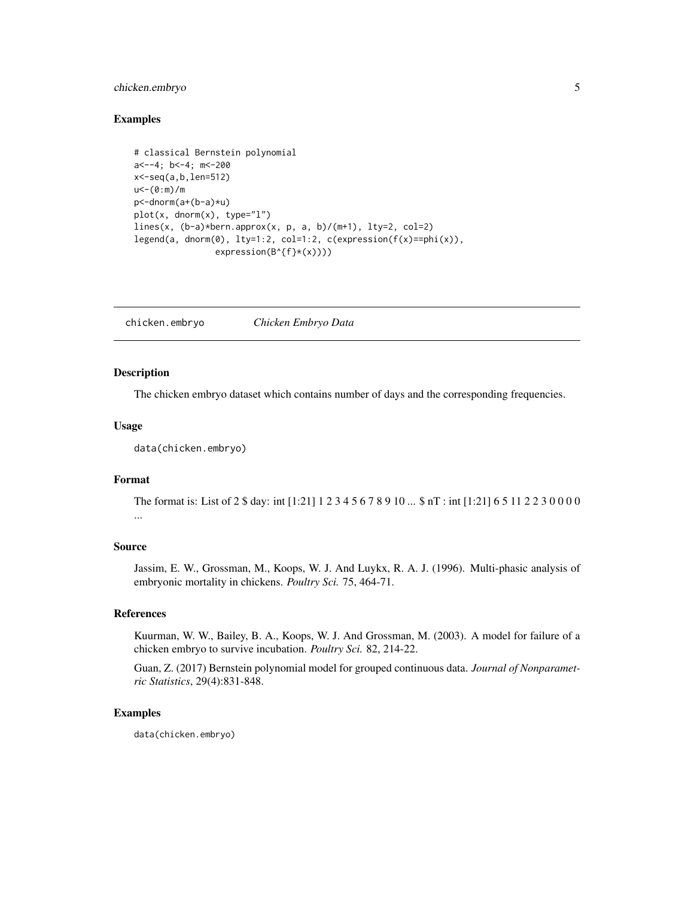## <span id="page-4-0"></span>chicken.embryo 5

#### Examples

```
# classical Bernstein polynomial
a<--4; b<-4; m<-200
x<-seq(a,b,len=512)
u<-(0:m)/m
p<-dnorm(a+(b-a)*u)
plot(x, dom(m(x), type='1")lines(x, (b-a)*bern.approx(x, p, a, b)/(m+1), lty=2, col=2)
legend(a, dnorm(0), lty=1:2, col=1:2, c(expression(f(x)==phi(x)),
                expression(B^{f}*(x))))
```
chicken.embryo *Chicken Embryo Data*

## Description

The chicken embryo dataset which contains number of days and the corresponding frequencies.

#### Usage

data(chicken.embryo)

## Format

The format is: List of 2 \$ day: int [1:21] 1 2 3 4 5 6 7 8 9 10 ... \$ nT : int [1:21] 6 5 11 2 2 3 0 0 0 0 ...

## Source

Jassim, E. W., Grossman, M., Koops, W. J. And Luykx, R. A. J. (1996). Multi-phasic analysis of embryonic mortality in chickens. *Poultry Sci.* 75, 464-71.

#### References

Kuurman, W. W., Bailey, B. A., Koops, W. J. And Grossman, M. (2003). A model for failure of a chicken embryo to survive incubation. *Poultry Sci.* 82, 214-22.

Guan, Z. (2017) Bernstein polynomial model for grouped continuous data. *Journal of Nonparametric Statistics*, 29(4):831-848.

#### Examples

data(chicken.embryo)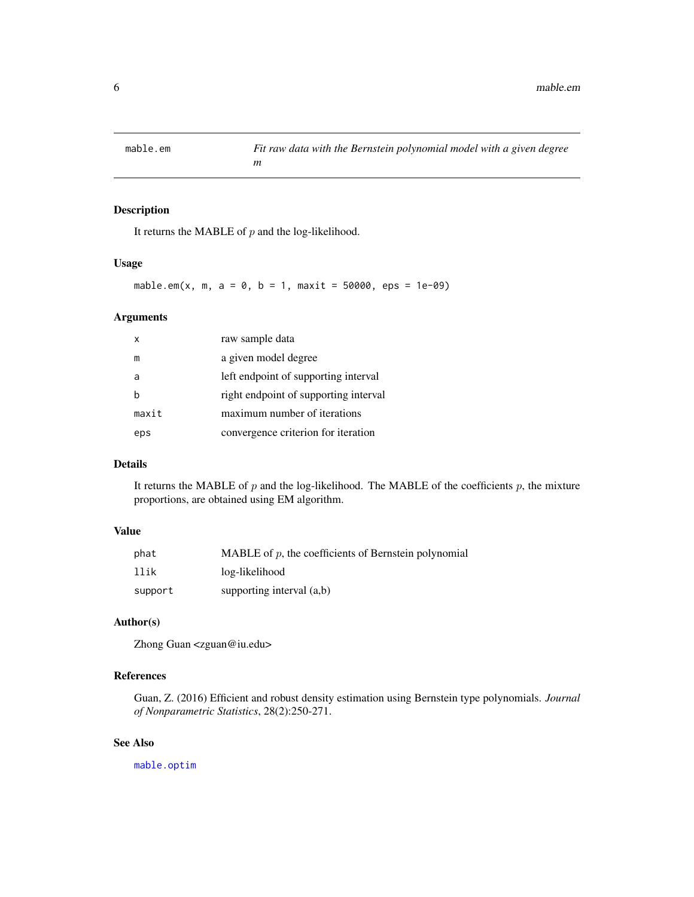<span id="page-5-1"></span><span id="page-5-0"></span>

## Description

It returns the MABLE of  $p$  and the log-likelihood.

#### Usage

```
mable.em(x, m, a = 0, b = 1, maxit = 50000, eps = 1e-09)
```
## Arguments

| x     | raw sample data                       |
|-------|---------------------------------------|
| m     | a given model degree                  |
|       | left endpoint of supporting interval  |
|       | right endpoint of supporting interval |
| maxit | maximum number of iterations          |
| eps   | convergence criterion for iteration   |

## Details

It returns the MABLE of  $p$  and the log-likelihood. The MABLE of the coefficients  $p$ , the mixture proportions, are obtained using EM algorithm.

#### Value

| phat    | MABLE of $p$ , the coefficients of Bernstein polynomial |
|---------|---------------------------------------------------------|
| llik    | log-likelihood                                          |
| support | supporting interval $(a,b)$                             |

## Author(s)

Zhong Guan <zguan@iu.edu>

## References

Guan, Z. (2016) Efficient and robust density estimation using Bernstein type polynomials. *Journal of Nonparametric Statistics*, 28(2):250-271.

## See Also

[mable.optim](#page-7-1)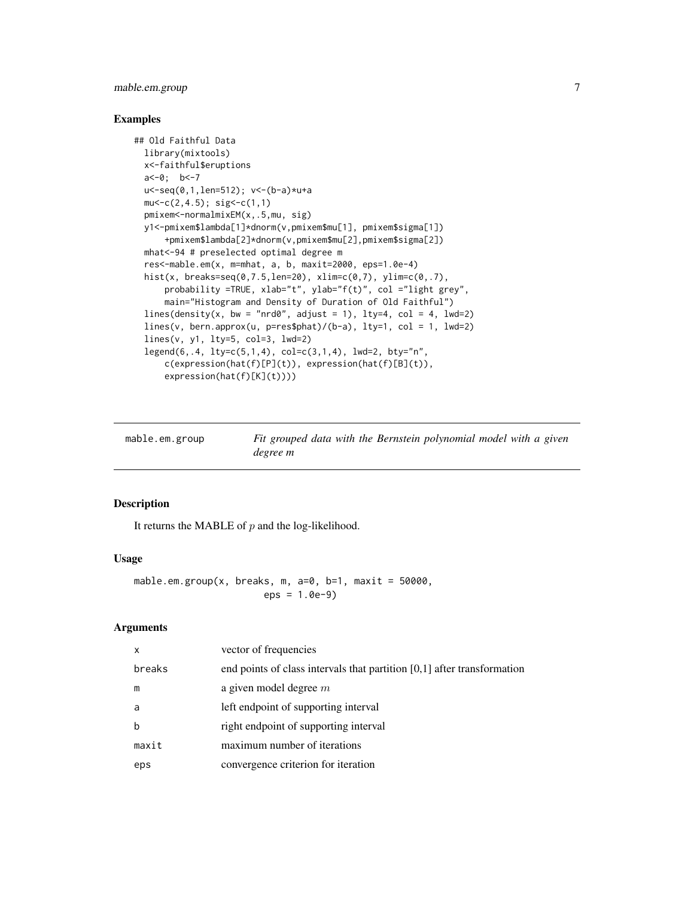## <span id="page-6-0"></span>mable.em.group 7

## Examples

```
## Old Faithful Data
 library(mixtools)
 x<-faithful$eruptions
 a<-0; b<-7
 u<-seq(0,1,len=512); v<-(b-a)*u+a
 mu < -c(2, 4.5); sig< -c(1, 1)pmixem<-normalmixEM(x,.5,mu, sig)
 y1<-pmixem$lambda[1]*dnorm(v,pmixem$mu[1], pmixem$sigma[1])
     +pmixem$lambda[2]*dnorm(v,pmixem$mu[2],pmixem$sigma[2])
 mhat<-94 # preselected optimal degree m
 res<-mable.em(x, m=mhat, a, b, maxit=2000, eps=1.0e-4)
 hist(x, breaks=seq(0,7.5,len=20), xlim=c(0,7), ylim=c(0,.7),
     probability =TRUE, xlab="t", ylab="f(t)", col ="light grey",
     main="Histogram and Density of Duration of Old Faithful")
 lines(density(x, bw = "nrd0", adjust = 1), lty=4, col = 4, lwd=2)lines(v, bern.approx(u, p=res$phot)/(b-a), lty=1, col = 1, lwd=2)lines(v, y1, lty=5, col=3, lwd=2)
 legend(6,.4, lty=c(5,1,4), col=c(3,1,4), lwd=2, bty="n",
     c(expression(hat(f)[P](t)), expression(hat(f)[B](t)),
     expression(hat(f)[K](t))))
```
<span id="page-6-1"></span>

| mable.em.group | Fit grouped data with the Bernstein polynomial model with a given |
|----------------|-------------------------------------------------------------------|
|                | degree m                                                          |

## Description

It returns the MABLE of  $p$  and the log-likelihood.

#### Usage

```
mable.em.group(x, breaks, m, a=0, b=1, maxit = 50000,
                      eps = 1.0e-9
```
#### Arguments

| $\mathsf{x}$ | vector of frequencies                                                     |
|--------------|---------------------------------------------------------------------------|
| breaks       | end points of class intervals that partition $[0,1]$ after transformation |
| m            | a given model degree $m$                                                  |
| a            | left endpoint of supporting interval                                      |
| $\mathbf b$  | right endpoint of supporting interval                                     |
| maxit        | maximum number of iterations                                              |
| eps          | convergence criterion for iteration                                       |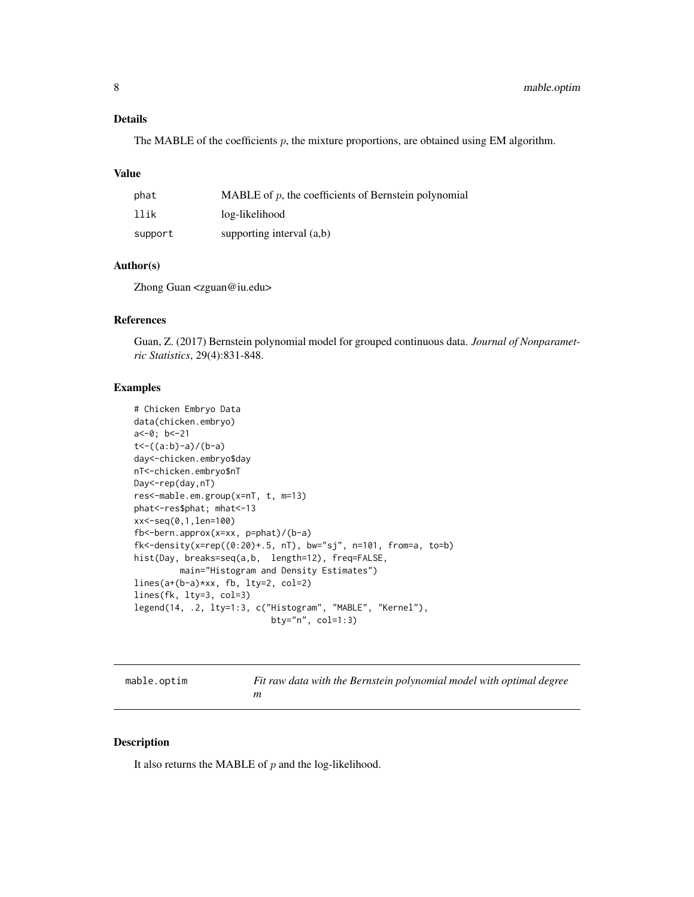## <span id="page-7-0"></span>Details

The MABLE of the coefficients  $p$ , the mixture proportions, are obtained using EM algorithm.

#### Value

| phat    | MABLE of $p$ , the coefficients of Bernstein polynomial |
|---------|---------------------------------------------------------|
| llik    | log-likelihood                                          |
| support | supporting interval $(a,b)$                             |

#### Author(s)

Zhong Guan <zguan@iu.edu>

#### References

Guan, Z. (2017) Bernstein polynomial model for grouped continuous data. *Journal of Nonparametric Statistics*, 29(4):831-848.

#### Examples

```
# Chicken Embryo Data
data(chicken.embryo)
a<-0; b<-21
t<-((a:b)-a)/(b-a)
day<-chicken.embryo$day
nT<-chicken.embryo$nT
Day<-rep(day,nT)
res<-mable.em.group(x=nT, t, m=13)
phat<-res$phat; mhat<-13
xx<-seq(0,1,len=100)
fb<-bern.approx(x=xx, p=phat)/(b-a)
fk<-density(x=rep((0:20)+.5, nT), bw="sj", n=101, from=a, to=b)
hist(Day, breaks=seq(a,b, length=12), freq=FALSE,
         main="Histogram and Density Estimates")
lines(a+(b-a)*xx, fb, lty=2, col=2)
lines(fk, lty=3, col=3)
legend(14, .2, lty=1:3, c("Histogram", "MABLE", "Kernel"),
                           bty="n", col=1:3)
```
<span id="page-7-1"></span>mable.optim *Fit raw data with the Bernstein polynomial model with optimal degree m*

## Description

It also returns the MABLE of  $p$  and the log-likelihood.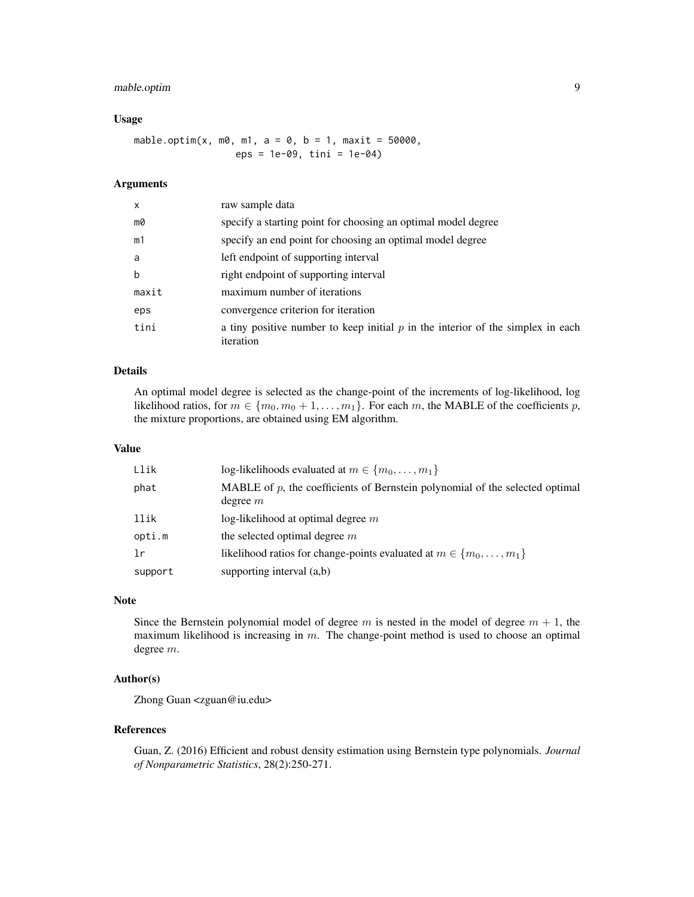## mable.optim 9

#### Usage

mable.optim(x, m0, m1, a = 0, b = 1, maxit =  $50000$ , eps = 1e-09, tini = 1e-04)

## Arguments

| x     | raw sample data                                                                                |
|-------|------------------------------------------------------------------------------------------------|
| m0    | specify a starting point for choosing an optimal model degree                                  |
| m1    | specify an end point for choosing an optimal model degree                                      |
| a     | left endpoint of supporting interval                                                           |
| b     | right endpoint of supporting interval                                                          |
| maxit | maximum number of iterations                                                                   |
| eps   | convergence criterion for iteration                                                            |
| tini  | a tiny positive number to keep initial $p$ in the interior of the simplex in each<br>iteration |

#### Details

An optimal model degree is selected as the change-point of the increments of log-likelihood, log likelihood ratios, for  $m \in \{m_0, m_0 + 1, \ldots, m_1\}$ . For each m, the MABLE of the coefficients p, the mixture proportions, are obtained using EM algorithm.

#### Value

| Llik    | log-likelihoods evaluated at $m \in \{m_0, \ldots, m_1\}$                                     |
|---------|-----------------------------------------------------------------------------------------------|
| phat    | MABLE of $p$ , the coefficients of Bernstein polynomial of the selected optimal<br>degree $m$ |
| llik    | $log$ -likelihood at optimal degree m                                                         |
| opti.m  | the selected optimal degree $m$                                                               |
| 1r      | likelihood ratios for change-points evaluated at $m \in \{m_0, \ldots, m_1\}$                 |
| support | supporting interval (a,b)                                                                     |

#### Note

Since the Bernstein polynomial model of degree  $m$  is nested in the model of degree  $m + 1$ , the maximum likelihood is increasing in  $m$ . The change-point method is used to choose an optimal degree m.

## Author(s)

Zhong Guan <zguan@iu.edu>

#### References

Guan, Z. (2016) Efficient and robust density estimation using Bernstein type polynomials. *Journal of Nonparametric Statistics*, 28(2):250-271.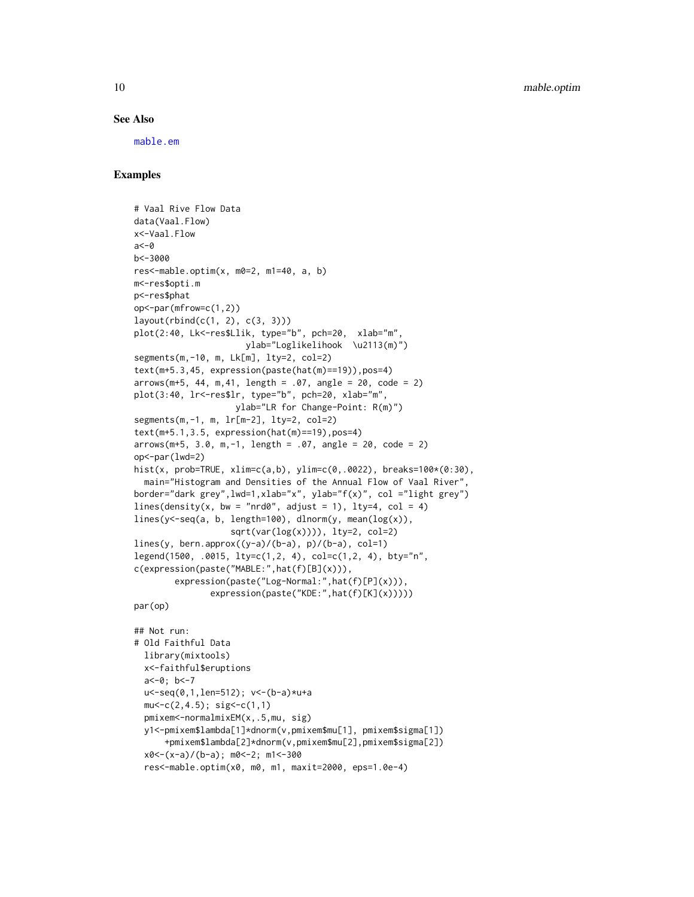#### See Also

[mable.em](#page-5-1)

## Examples

```
# Vaal Rive Flow Data
data(Vaal.Flow)
x<-Vaal.Flow
a < -0b<-3000
res<-mable.optim(x, m0=2, m1=40, a, b)
m<-res$opti.m
p<-res$phat
op<-par(mfrow=c(1,2))
layout(rbind(c(1, 2), c(3, 3)))
plot(2:40, Lk<-res$Llik, type="b", pch=20, xlab="m",
                      ylab="Loglikelihook \u2113(m)")
segments(m,-10, m, Lk[m], lty=2, col=2)
text(m+5.3,45, expression(paste(hat(m)==19)),pos=4)
arrows(m+5, 44, m, 41, length = .07, angle = 20, code = 2)plot(3:40, lr<-res$lr, type="b", pch=20, xlab="m",
                    ylab="LR for Change-Point: R(m)")
segments(m,-1, m, lr[m-2], lty=2, col=2)
text(m+5.1,3.5, expression(hat(m)==19),pos=4)
arrows(m+5, 3.0, m,-1, length = .07, angle = 20, code = 2)op<-par(lwd=2)
hist(x, prob=TRUE, xlim=c(a,b), ylim=c(0, .0022), breaks=100*(0:30),
  main="Histogram and Densities of the Annual Flow of Vaal River",
border="dark grey",lwd=1,xlab="x", ylab="f(x)", col ="light grey")
lines(density(x, bw = "nrd0", adjust = 1), lty=4, col = 4)
lines(y<-seq(a, b, length=100), dlnorm(y, mean(log(x)),
                   sqrt(var(log(x)))), lty=2, col=2)lines(y, bern.approx((y-a)/(b-a), p)/(b-a), col=1)
legend(1500, .0015, lty=c(1,2, 4), col=c(1,2, 4), bty="n",
c(expression(paste("MABLE:",hat(f)[B](x))),
        expression(paste("Log-Normal:",hat(f)[P](x))),
               expression(paste("KDE:",hat(f)[K](x)))))
par(op)
## Not run:
# Old Faithful Data
```

```
library(mixtools)
x<-faithful$eruptions
a <- 0; b <- 7
u<-seq(0,1,len=512); v<-(b-a)*u+a
mu < -c(2, 4.5); sig< -c(1, 1)pmixem<-normalmixEM(x,.5,mu, sig)
y1<-pmixem$lambda[1]*dnorm(v,pmixem$mu[1], pmixem$sigma[1])
    +pmixem$lambda[2]*dnorm(v,pmixem$mu[2],pmixem$sigma[2])
x0<-(x-a)/(b-a); m0<-2; m1<-300
res<-mable.optim(x0, m0, m1, maxit=2000, eps=1.0e-4)
```
<span id="page-9-0"></span>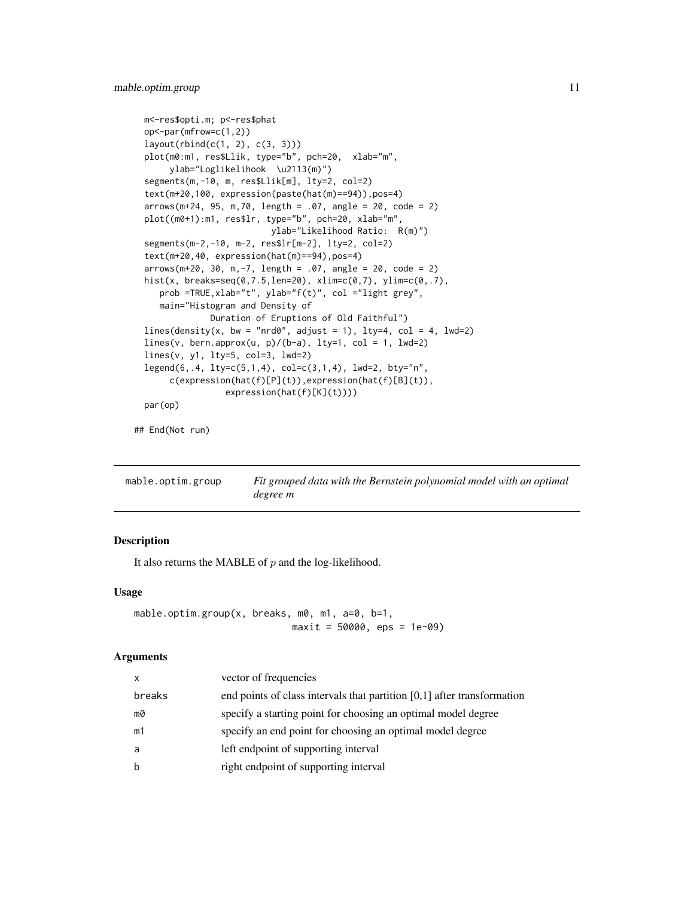```
m<-res$opti.m; p<-res$phat
op<-par(mfrow=c(1,2))
layout(rbind(c(1, 2), c(3, 3)))
plot(m0:m1, res$Llik, type="b", pch=20, xlab="m",
     ylab="Loglikelihook \u2113(m)")
segments(m,-10, m, res$Llik[m], lty=2, col=2)
text(m+20,100, expression(paste(hat(m)==94)),pos=4)
arrows(m+24, 95, m,70, length = .07, angle = 20, code = 2)
plot((m0+1):m1, res$lr, type="b", pch=20, xlab="m",
                         ylab="Likelihood Ratio: R(m)")
segments(m-2,-10, m-2, res$lr[m-2], lty=2, col=2)
text(m+20,40, expression(hat(m)==94),pos=4)
arrows(m+20, 30, m, -7, length = .07, angle = 20, code = 2)hist(x, breaks=seq(0,7.5,len=20), xlim=c(0,7), ylim=c(0,.7),
   prob =TRUE,xlab="t", ylab="f(t)", col ="light grey",
   main="Histogram and Density of
             Duration of Eruptions of Old Faithful")
lines(density(x, bw = "nrd0", adjust = 1), lty=4, col = 4, lwd=2)
lines(v, bern.approx(u, p)/(b-a), lty=1, col = 1, lwd=2)
lines(v, y1, lty=5, col=3, lwd=2)
legend(6,.4, lty=c(5,1,4), col=c(3,1,4), lwd=2, bty="n",
     c(expression(hat(f)[P](t)),expression(hat(f)[B](t)),
                expression(hat(f)[K](t))))
par(op)
```
## End(Not run)

<span id="page-10-1"></span>

| mable.optim.group | Fit grouped data with the Bernstein polynomial model with an optimal |
|-------------------|----------------------------------------------------------------------|
|                   | degree m                                                             |

#### Description

It also returns the MABLE of  $p$  and the log-likelihood.

#### Usage

```
mable.optim.group(x, breaks, m0, m1, a=0, b=1,
                            maxit = 50000, eps = 1e-09)
```
#### **Arguments**

| $\mathsf{x}$ | vector of frequencies                                                     |
|--------------|---------------------------------------------------------------------------|
| breaks       | end points of class intervals that partition $[0,1]$ after transformation |
| m0           | specify a starting point for choosing an optimal model degree             |
| m1           | specify an end point for choosing an optimal model degree                 |
| a            | left endpoint of supporting interval                                      |
| b            | right endpoint of supporting interval                                     |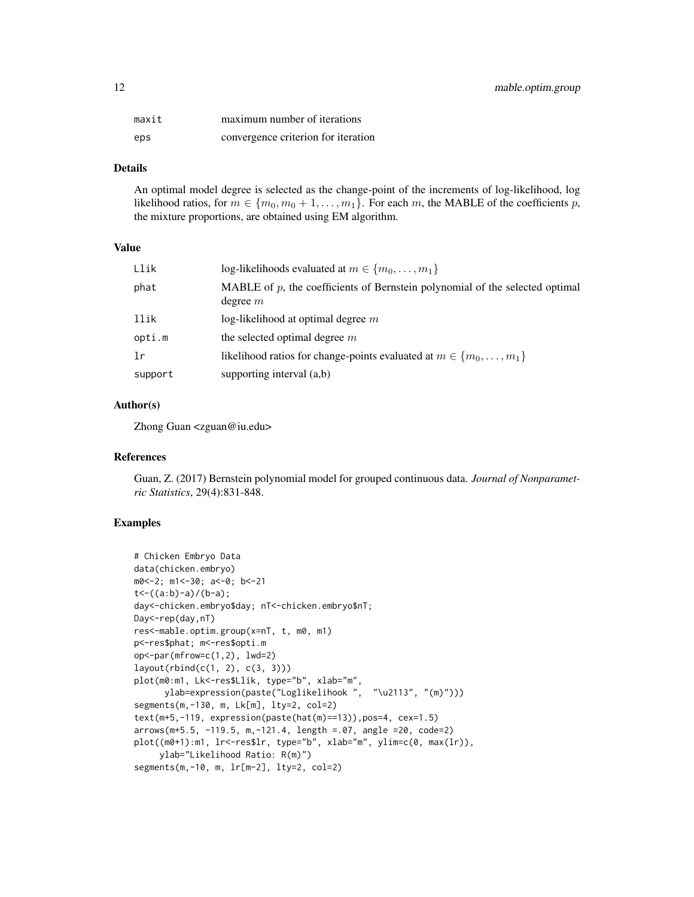| maxit | maximum number of iterations        |
|-------|-------------------------------------|
| eps   | convergence criterion for iteration |

## Details

An optimal model degree is selected as the change-point of the increments of log-likelihood, log likelihood ratios, for  $m \in \{m_0, m_0 + 1, \ldots, m_1\}$ . For each m, the MABLE of the coefficients p, the mixture proportions, are obtained using EM algorithm.

#### Value

| Llik    | log-likelihoods evaluated at $m \in \{m_0, \ldots, m_1\}$                                     |
|---------|-----------------------------------------------------------------------------------------------|
| phat    | MABLE of $p$ , the coefficients of Bernstein polynomial of the selected optimal<br>degree $m$ |
| llik    | $log$ -likelihood at optimal degree m                                                         |
| opti.m  | the selected optimal degree $m$                                                               |
| lr      | likelihood ratios for change-points evaluated at $m \in \{m_0, \ldots, m_1\}$                 |
| support | supporting interval $(a,b)$                                                                   |

## Author(s)

Zhong Guan <zguan@iu.edu>

#### References

Guan, Z. (2017) Bernstein polynomial model for grouped continuous data. *Journal of Nonparametric Statistics*, 29(4):831-848.

#### Examples

```
# Chicken Embryo Data
data(chicken.embryo)
m0<-2; m1<-30; a<-0; b<-21
t < -((a:b)-a)/(b-a);day<-chicken.embryo$day; nT<-chicken.embryo$nT;
Day<-rep(day,nT)
res<-mable.optim.group(x=nT, t, m0, m1)
p<-res$phat; m<-res$opti.m
op<-par(mfrow=c(1,2), lwd=2)
layout(rbind(c(1, 2), c(3, 3)))
plot(m0:m1, Lk<-res$Llik, type="b", xlab="m",
      ylab=expression(paste("Loglikelihook ", "\u2113", "(m)")))
segments(m,-130, m, Lk[m], lty=2, col=2)
text(m+5,-119, expression(paste(hat(m)==13)),pos=4, cex=1.5)
arrows(m+5.5, -119.5, m,-121.4, length =.07, angle =20, code=2)
plot((m0+1):m1, lr<-res$lr, type="b", xlab="m", ylim=c(0, max(lr)),
    ylab="Likelihood Ratio: R(m)")
segments(m,-10, m, lr[m-2], lty=2, col=2)
```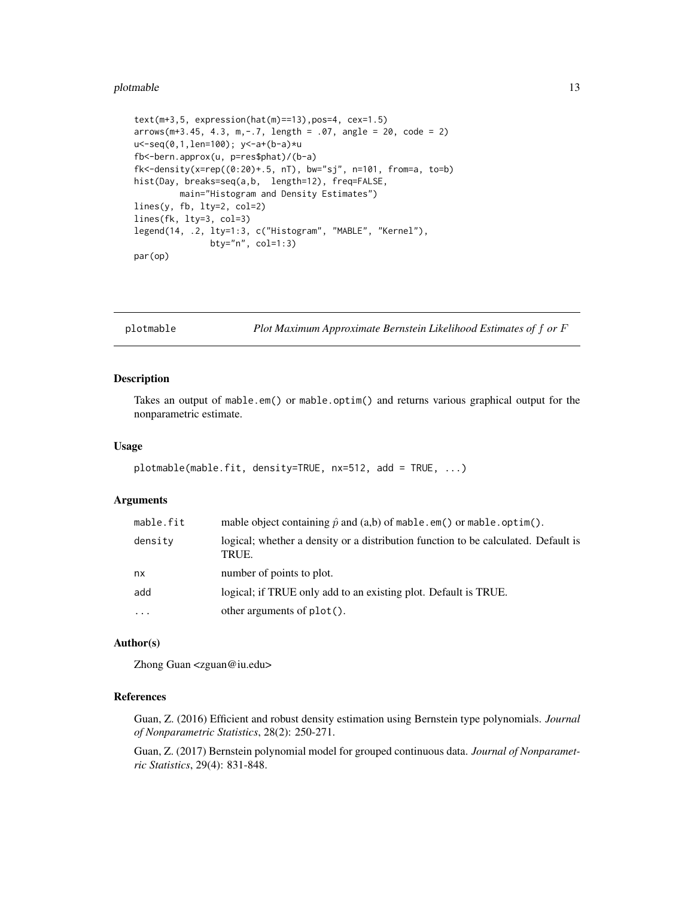#### <span id="page-12-0"></span>plotmable that the contract of the contract of the contract of the contract of the contract of the contract of the contract of the contract of the contract of the contract of the contract of the contract of the contract of

```
text(m+3,5, expression(hat(m)=13), pos=4, cex=1.5)arrows(m+3.45, 4.3, m, -.7, length = .07, angle = 20, code = 2)u<-seq(0,1,len=100); y<-a+(b-a)*u
fb<-bern.approx(u, p=res$phat)/(b-a)
fk < -density(x = rep((0:20) + .5, nT), bw = "sj", n = 101, from = a, to = b)hist(Day, breaks=seq(a,b, length=12), freq=FALSE,
         main="Histogram and Density Estimates")
lines(y, fb, lty=2, col=2)
lines(fk, lty=3, col=3)
legend(14, .2, lty=1:3, c("Histogram", "MABLE", "Kernel"),
               bty="n", col=1:3)
par(op)
```
<span id="page-12-1"></span>plotmable *Plot Maximum Approximate Bernstein Likelihood Estimates of* f *or* F

#### Description

Takes an output of mable.em() or mable.optim() and returns various graphical output for the nonparametric estimate.

#### Usage

```
plotmable(mable.fit, density=TRUE, nx=512, add = TRUE, ...)
```
#### Arguments

| mable.fit  | mable object containing $\hat{p}$ and $(a,b)$ of mable.em() or mable.optim().               |
|------------|---------------------------------------------------------------------------------------------|
| density    | logical; whether a density or a distribution function to be calculated. Default is<br>TRUE. |
| nx         | number of points to plot.                                                                   |
| add        | logical; if TRUE only add to an existing plot. Default is TRUE.                             |
| $\ddots$ . | other arguments of $plot()$ .                                                               |

#### Author(s)

Zhong Guan <zguan@iu.edu>

## References

Guan, Z. (2016) Efficient and robust density estimation using Bernstein type polynomials. *Journal of Nonparametric Statistics*, 28(2): 250-271.

Guan, Z. (2017) Bernstein polynomial model for grouped continuous data. *Journal of Nonparametric Statistics*, 29(4): 831-848.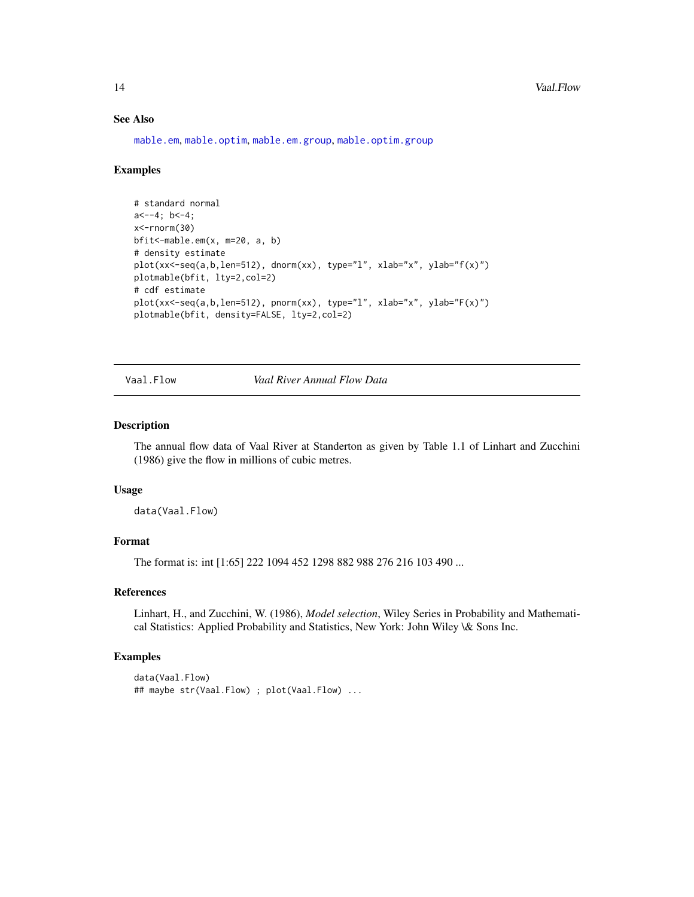#### See Also

[mable.em](#page-5-1), [mable.optim](#page-7-1), [mable.em.group](#page-6-1), [mable.optim.group](#page-10-1)

#### Examples

```
# standard normal
a < -4; b < -4;
x<-rnorm(30)
bfit<-mable.em(x, m=20, a, b)
# density estimate
plot(xx<-seq(a,b,len=512), dnorm(xx), type="l", xlab="x", ylab="f(x)")
plotmable(bfit, lty=2,col=2)
# cdf estimate
plot(xx<-seq(a,b,len=512), pnorm(xx), type="l", xlab="x", ylab="F(x)")
plotmable(bfit, density=FALSE, lty=2,col=2)
```
Vaal.Flow *Vaal River Annual Flow Data*

#### Description

The annual flow data of Vaal River at Standerton as given by Table 1.1 of Linhart and Zucchini (1986) give the flow in millions of cubic metres.

#### Usage

data(Vaal.Flow)

#### Format

The format is: int [1:65] 222 1094 452 1298 882 988 276 216 103 490 ...

#### References

Linhart, H., and Zucchini, W. (1986), *Model selection*, Wiley Series in Probability and Mathematical Statistics: Applied Probability and Statistics, New York: John Wiley \& Sons Inc.

#### Examples

```
data(Vaal.Flow)
## maybe str(Vaal.Flow) ; plot(Vaal.Flow) ...
```
<span id="page-13-0"></span>